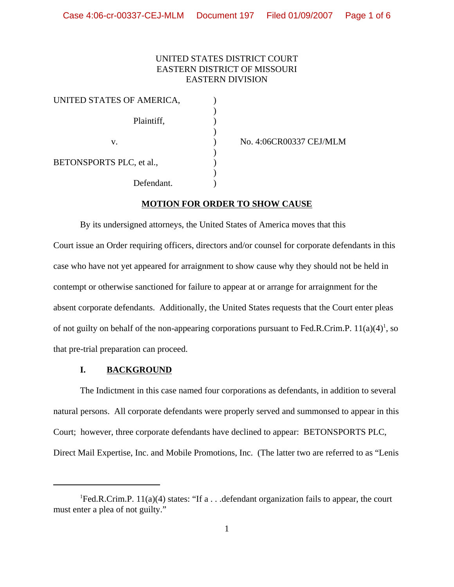## UNITED STATES DISTRICT COURT EASTERN DISTRICT OF MISSOURI EASTERN DIVISION

| UNITED STATES OF AMERICA, |  |
|---------------------------|--|
| Plaintiff,                |  |
| V.                        |  |
| BETONSPORTS PLC, et al.,  |  |
| Defendant.                |  |

No. 4:06CR00337 CEJ/MLM

### **MOTION FOR ORDER TO SHOW CAUSE**

By its undersigned attorneys, the United States of America moves that this Court issue an Order requiring officers, directors and/or counsel for corporate defendants in this case who have not yet appeared for arraignment to show cause why they should not be held in contempt or otherwise sanctioned for failure to appear at or arrange for arraignment for the absent corporate defendants. Additionally, the United States requests that the Court enter pleas of not guilty on behalf of the non-appearing corporations pursuant to Fed.R.Crim.P.  $11(a)(4)^1$ , so that pre-trial preparation can proceed.

#### **I. BACKGROUND**

The Indictment in this case named four corporations as defendants, in addition to several natural persons. All corporate defendants were properly served and summonsed to appear in this Court; however, three corporate defendants have declined to appear: BETONSPORTS PLC, Direct Mail Expertise, Inc. and Mobile Promotions, Inc. (The latter two are referred to as "Lenis

<sup>&</sup>lt;sup>1</sup>Fed.R.Crim.P. 11(a)(4) states: "If a . . .defendant organization fails to appear, the court must enter a plea of not guilty."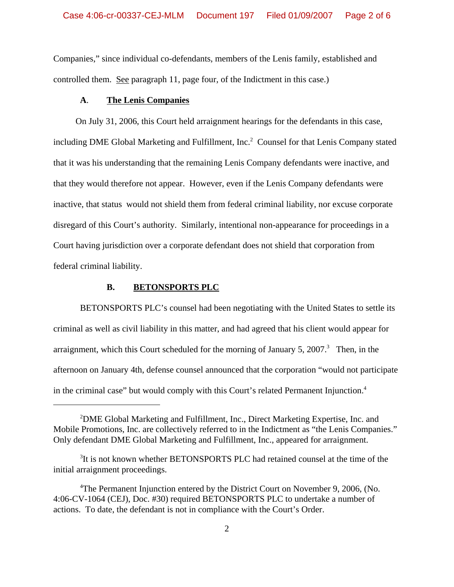Companies," since individual co-defendants, members of the Lenis family, established and controlled them. See paragraph 11, page four, of the Indictment in this case.)

#### **A**. **The Lenis Companies**

 On July 31, 2006, this Court held arraignment hearings for the defendants in this case, including DME Global Marketing and Fulfillment, Inc.<sup>2</sup> Counsel for that Lenis Company stated that it was his understanding that the remaining Lenis Company defendants were inactive, and that they would therefore not appear. However, even if the Lenis Company defendants were inactive, that status would not shield them from federal criminal liability, nor excuse corporate disregard of this Court's authority. Similarly, intentional non-appearance for proceedings in a Court having jurisdiction over a corporate defendant does not shield that corporation from federal criminal liability.

## **B. BETONSPORTS PLC**

BETONSPORTS PLC's counsel had been negotiating with the United States to settle its criminal as well as civil liability in this matter, and had agreed that his client would appear for arraignment, which this Court scheduled for the morning of January 5, 2007. $3$  Then, in the afternoon on January 4th, defense counsel announced that the corporation "would not participate in the criminal case" but would comply with this Court's related Permanent Injunction.4

<sup>&</sup>lt;sup>2</sup>DME Global Marketing and Fulfillment, Inc., Direct Marketing Expertise, Inc. and Mobile Promotions, Inc. are collectively referred to in the Indictment as "the Lenis Companies." Only defendant DME Global Marketing and Fulfillment, Inc., appeared for arraignment.

<sup>&</sup>lt;sup>3</sup>It is not known whether BETONSPORTS PLC had retained counsel at the time of the initial arraignment proceedings.

<sup>&</sup>lt;sup>4</sup>The Permanent Injunction entered by the District Court on November 9, 2006, (No. 4:06-CV-1064 (CEJ), Doc. #30) required BETONSPORTS PLC to undertake a number of actions. To date, the defendant is not in compliance with the Court's Order.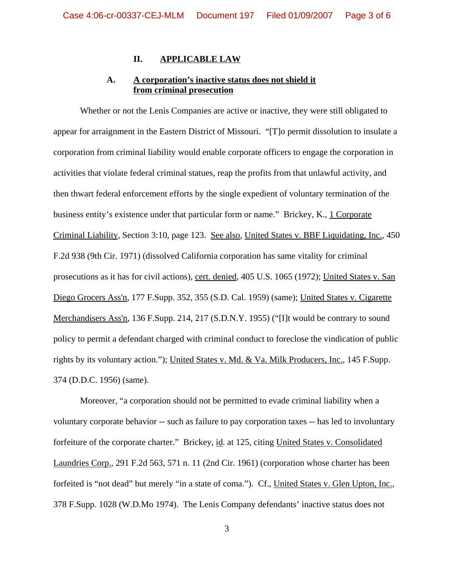#### **II. APPLICABLE LAW**

# **A. A corporation's inactive status does not shield it from criminal prosecution**

Whether or not the Lenis Companies are active or inactive, they were still obligated to appear for arraignment in the Eastern District of Missouri. "[T]o permit dissolution to insulate a corporation from criminal liability would enable corporate officers to engage the corporation in activities that violate federal criminal statues, reap the profits from that unlawful activity, and then thwart federal enforcement efforts by the single expedient of voluntary termination of the business entity's existence under that particular form or name." Brickey, K., 1 Corporate Criminal Liability, Section 3:10, page 123. See also, United States v. BBF Liquidating, Inc., 450 F.2d 938 (9th Cir. 1971) (dissolved California corporation has same vitality for criminal prosecutions as it has for civil actions), cert. denied, 405 U.S. 1065 (1972); United States v. San Diego Grocers Ass'n, 177 F.Supp. 352, 355 (S.D. Cal. 1959) (same); United States v. Cigarette Merchandisers Ass'n, 136 F.Supp. 214, 217 (S.D.N.Y. 1955) ("[I]t would be contrary to sound policy to permit a defendant charged with criminal conduct to foreclose the vindication of public rights by its voluntary action."); United States v. Md. & Va. Milk Producers, Inc., 145 F.Supp. 374 (D.D.C. 1956) (same).

Moreover, "a corporation should not be permitted to evade criminal liability when a voluntary corporate behavior -- such as failure to pay corporation taxes -- has led to involuntary forfeiture of the corporate charter." Brickey, id. at 125, citing United States v. Consolidated Laundries Corp., 291 F.2d 563, 571 n. 11 (2nd Cir. 1961) (corporation whose charter has been forfeited is "not dead" but merely "in a state of coma."). Cf., United States v. Glen Upton, Inc., 378 F.Supp. 1028 (W.D.Mo 1974). The Lenis Company defendants' inactive status does not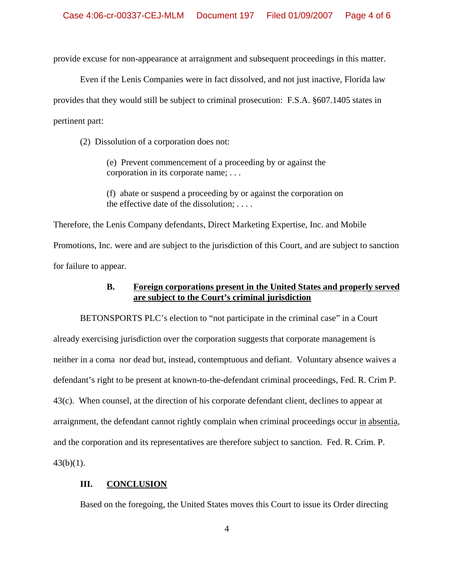provide excuse for non-appearance at arraignment and subsequent proceedings in this matter.

Even if the Lenis Companies were in fact dissolved, and not just inactive, Florida law provides that they would still be subject to criminal prosecution: F.S.A. §607.1405 states in pertinent part:

(2) Dissolution of a corporation does not:

(e) Prevent commencement of a proceeding by or against the corporation in its corporate name; . . .

(f) abate or suspend a proceeding by or against the corporation on the effective date of the dissolution; . . . .

Therefore, the Lenis Company defendants, Direct Marketing Expertise, Inc. and Mobile Promotions, Inc. were and are subject to the jurisdiction of this Court, and are subject to sanction for failure to appear.

## **B. Foreign corporations present in the United States and properly served are subject to the Court's criminal jurisdiction**

BETONSPORTS PLC's election to "not participate in the criminal case" in a Court already exercising jurisdiction over the corporation suggests that corporate management is neither in a coma nor dead but, instead, contemptuous and defiant. Voluntary absence waives a defendant's right to be present at known-to-the-defendant criminal proceedings, Fed. R. Crim P. 43(c). When counsel, at the direction of his corporate defendant client, declines to appear at arraignment, the defendant cannot rightly complain when criminal proceedings occur in absentia, and the corporation and its representatives are therefore subject to sanction. Fed. R. Crim. P.  $43(b)(1)$ .

### **III. CONCLUSION**

Based on the foregoing, the United States moves this Court to issue its Order directing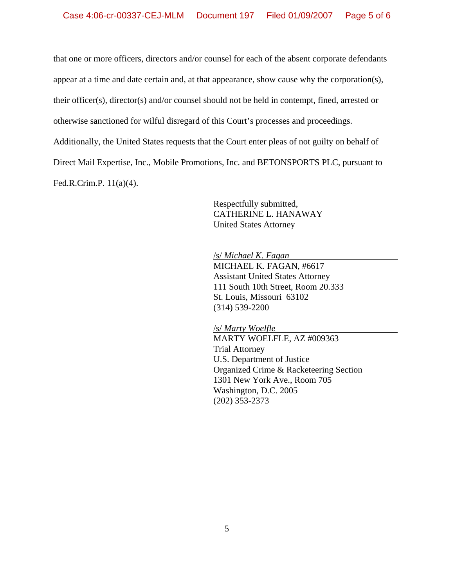that one or more officers, directors and/or counsel for each of the absent corporate defendants

appear at a time and date certain and, at that appearance, show cause why the corporation(s),

their officer(s), director(s) and/or counsel should not be held in contempt, fined, arrested or

otherwise sanctioned for wilful disregard of this Court's processes and proceedings.

Additionally, the United States requests that the Court enter pleas of not guilty on behalf of

Direct Mail Expertise, Inc., Mobile Promotions, Inc. and BETONSPORTS PLC, pursuant to

Fed.R.Crim.P. 11(a)(4).

Respectfully submitted, CATHERINE L. HANAWAY United States Attorney

/s/ *Michael K. Fagan*  MICHAEL K. FAGAN, #6617 Assistant United States Attorney 111 South 10th Street, Room 20.333 St. Louis, Missouri 63102 (314) 539-2200

/s/ *Marty Woelfle*  MARTY WOELFLE, AZ #009363 Trial Attorney U.S. Department of Justice Organized Crime & Racketeering Section 1301 New York Ave., Room 705 Washington, D.C. 2005 (202) 353-2373